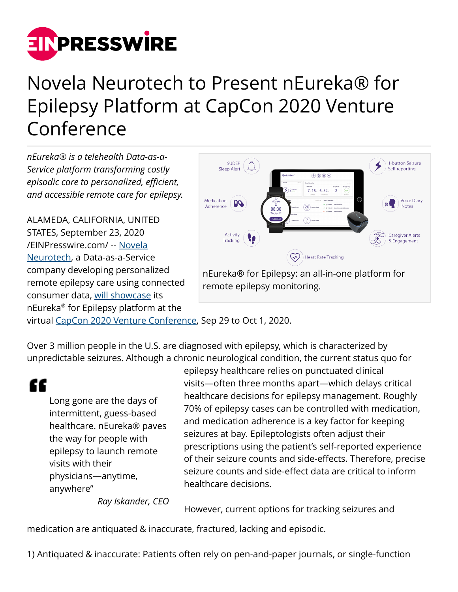

## Novela Neurotech to Present nEureka® for Epilepsy Platform at CapCon 2020 Venture Conference

*nEureka® is a telehealth Data-as-a-Service platform transforming costly episodic care to personalized, efficient, and accessible remote care for epilepsy.*

ALAMEDA, CALIFORNIA, UNITED STATES, September 23, 2020 [/EINPresswire.com/](http://www.einpresswire.com) -- [Novela](https://www.novelaneuro.com/) [Neurotech](https://www.novelaneuro.com/), a Data-as-a-Service company developing personalized remote epilepsy care using connected consumer data, [will showcase](https://capconevent.com/virtual/attendeelist/#nEureka) its nEureka® for Epilepsy platform at the



virtual [CapCon 2020 Venture Conference,](https://capconevent.com/virtual/) Sep 29 to Oct 1, 2020.

Over 3 million people in the U.S. are diagnosed with epilepsy, which is characterized by unpredictable seizures. Although a chronic neurological condition, the current status quo for

"

Long gone are the days of intermittent, guess-based healthcare. nEureka® paves the way for people with epilepsy to launch remote visits with their physicians—anytime, anywhere"

epilepsy healthcare relies on punctuated clinical visits—often three months apart—which delays critical healthcare decisions for epilepsy management. Roughly 70% of epilepsy cases can be controlled with medication, and medication adherence is a key factor for keeping seizures at bay. Epileptologists often adjust their prescriptions using the patient's self-reported experience of their seizure counts and side-effects. Therefore, precise seizure counts and side-effect data are critical to inform healthcare decisions.

*Ray Iskander, CEO*

However, current options for tracking seizures and

medication are antiquated & inaccurate, fractured, lacking and episodic.

1) Antiquated & inaccurate: Patients often rely on pen-and-paper journals, or single-function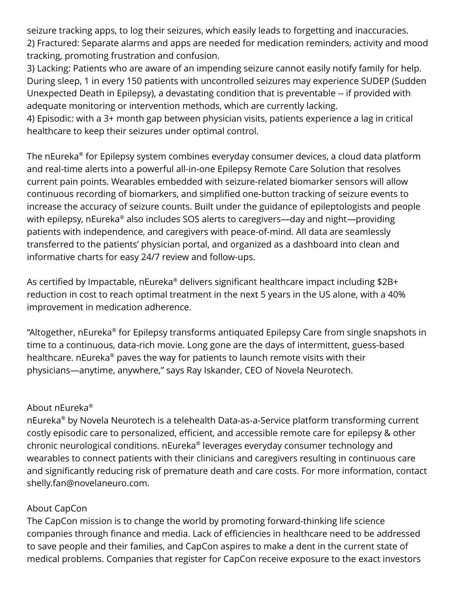seizure tracking apps, to log their seizures, which easily leads to forgetting and inaccuracies. 2) Fractured: Separate alarms and apps are needed for medication reminders, activity and mood tracking, promoting frustration and confusion.

3) Lacking: Patients who are aware of an impending seizure cannot easily notify family for help. During sleep, 1 in every 150 patients with uncontrolled seizures may experience SUDEP (Sudden Unexpected Death in Epilepsy), a devastating condition that is preventable -- if provided with adequate monitoring or intervention methods, which are currently lacking.

4) Episodic: with a 3+ month gap between physician visits, patients experience a lag in critical healthcare to keep their seizures under optimal control.

The nEureka® for Epilepsy system combines everyday consumer devices, a cloud data platform and real-time alerts into a powerful all-in-one Epilepsy Remote Care Solution that resolves current pain points. Wearables embedded with seizure-related biomarker sensors will allow continuous recording of biomarkers, and simplified one-button tracking of seizure events to increase the accuracy of seizure counts. Built under the guidance of epileptologists and people with epilepsy, nEureka® also includes SOS alerts to caregivers—day and night—providing patients with independence, and caregivers with peace-of-mind. All data are seamlessly transferred to the patients' physician portal, and organized as a dashboard into clean and informative charts for easy 24/7 review and follow-ups.

As certified by Impactable, nEureka® delivers significant healthcare impact including \$2B+ reduction in cost to reach optimal treatment in the next 5 years in the US alone, with a 40% improvement in medication adherence.

"Altogether, nEureka® for Epilepsy transforms antiquated Epilepsy Care from single snapshots in time to a continuous, data-rich movie. Long gone are the days of intermittent, guess-based healthcare. <code>nEureka®</code> paves the way for patients to launch remote visits with their physicians—anytime, anywhere," says Ray Iskander, CEO of Novela Neurotech.

## About nEureka®

nEureka® by Novela Neurotech is a telehealth Data-as-a-Service platform transforming current costly episodic care to personalized, efficient, and accessible remote care for epilepsy & other chronic neurological conditions. nEureka® leverages everyday consumer technology and wearables to connect patients with their clinicians and caregivers resulting in continuous care and significantly reducing risk of premature death and care costs. For more information, contact shelly.fan@novelaneuro.com.

## About CapCon

The CapCon mission is to change the world by promoting forward-thinking life science companies through finance and media. Lack of efficiencies in healthcare need to be addressed to save people and their families, and CapCon aspires to make a dent in the current state of medical problems. Companies that register for CapCon receive exposure to the exact investors